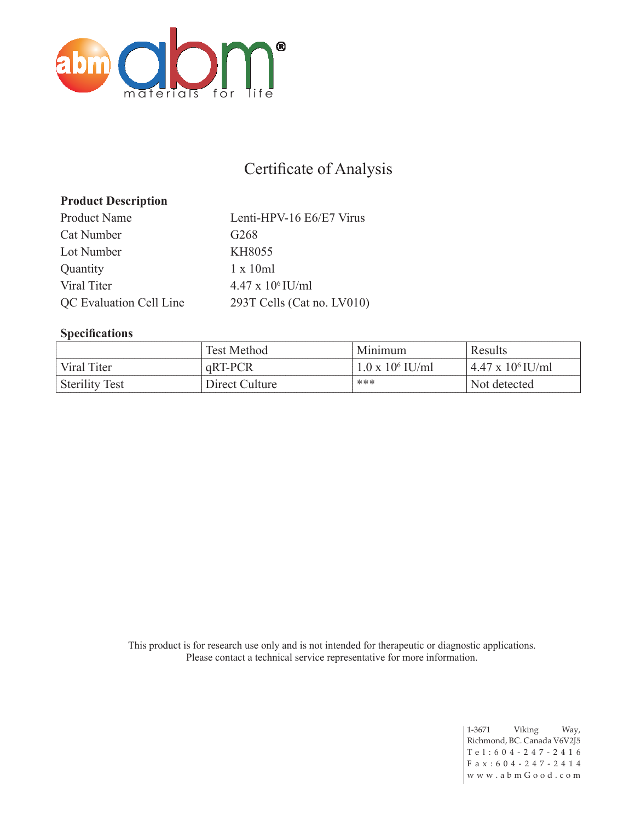

## Certificate of Analysis

## **Product Description**

Product Name Lenti-HPV-16 E6/E7 Virus Cat Number G268 Lot Number KH8055 Quantity 1 x 10ml Viral Titer  $4.47 \times 10^6$  IU/ml QC Evaluation Cell Line 293T Cells (Cat no. LV010)

## **Specifications**

|                       | Test Method    | Minimum                 | Results                    |
|-----------------------|----------------|-------------------------|----------------------------|
| Viral Titer           | qRT-PCR        | $1.0 \times 10^6$ IU/ml | $4.47 \times 10^{6}$ IU/ml |
| <b>Sterility Test</b> | Direct Culture | ***                     | Not detected               |

This product is for research use only and is not intended for therapeutic or diagnostic applications. Please contact a technical service representative for more information.

> 1-3671 Viking Way, Richmond, BC. Canada V6V2J5 Tel:604-247-2416 F a x : 6 0 4 - 2 4 7 - 2 4 1 4 w w w . a b m G o o d . c o m